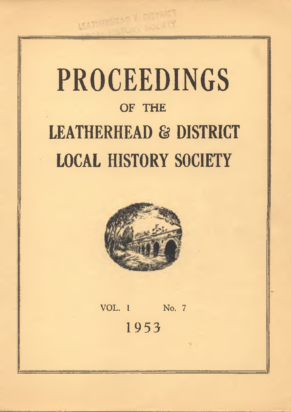## **PROCEEDINGS OF THE LEATHERHEAD & DISTRICT LOCAL HISTORY SOCIETY**



VOL. 1 No. 7 **1953**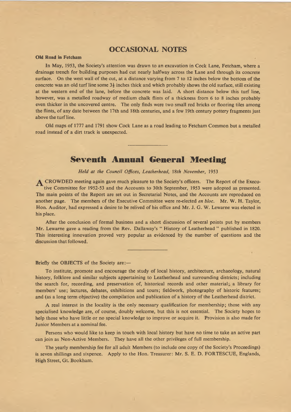## **OCCASIONAL NOTES**

#### **Old Road in Fetcham**

In May, 1953, the Society's attention was drawn to an excavation in Cock Lane, Fetcham, where a drainage trench for building purposes had cut nearly halfway across the Lane and through its concrete surface. On the west wall of the cut, at a distance varying from 7 to 12 inches below the bottom of the concrete was an old turf line some 3*%* inches thick and which probably shows the old surface, still existing at the western end of the lane, before the concrete was laid. A short distance below this turf line, however, was a metalled roadway of medium chalk flints of a thickness from 6 to 8 inches probably even thicker in the uncovered centre. The only finds were two small red bricks or flooring tiles among the flints, of any date between the 17th and 18th centuries, and a few 19th century pottery fragments just above the turf line.

Old maps of 1777 and 1791 show Cock Lane as a road leading to Fetcham Common but a metalled road instead of a dirt track is unexpected.

## **Seventh Annual General Meeting**

*H eld at the Council Offices*, *Leatherhead,* 18*th November*, 1953

CROWDED meeting again gave much pleasure to the Society's officers. The Report of the Executive Committee for 1952-53 and the Accounts to 30th September, 1953 were adopted as presented. The main points of the Report are set out in Secretarial Notes, and the Accounts are reproduced on another page. The members of the Executive Committee were re-elected *en bloc.* Mr. W. H. Taylor, Hon. Auditor, had expressed a desire to be relived of his office and Mr. J. G. W. Lewarne was elected in his place.

After the conclusion of formal business and a short discussion of several points put by members Mr. Lewarne gave a reading from the Rev. Dallaway's " History of Leatherhead " published in 1820. This interesting innovation proved very popular as evidenced by the number of questions and the discussion that followed.

Briefly the OBJECTS of the Society are:—

To institute, promote and encourage the study of local history, architecture, archaeology, natural history, folklore and similar subjects appertaining to Leatherhead and surrounding districts; including the search for, recording, and preservation of, historical records and other material; a library for members' use; lectures, debates, exhibitions and tours; fieldwork, photography of historic features; and (as a long term objective) the compilation and publication of a history of the Leatherhead district.

A real interest in the locality is the only necessary qualification for membership; those with any specialised knowledge are, of course, doubly welcome, but this is not essential. The Society hopes to help those who have little or no special knowledge to improve or acquire it. Provision is also made for Junior Members at a nominal fee.

Persons who would like to keep in touch with local history but have no time to take an active part can join as Non-Active Members. They have all the other privileges of full membership.

The yearly membership fee for all adult Members (to include one copy of the Society's Proceedings) is seven shillings and sixpence. Apply to the Hon. Treasurer: Mr. S. E. D. FORTESCUE, Englands, High Street, Gt. Bookham.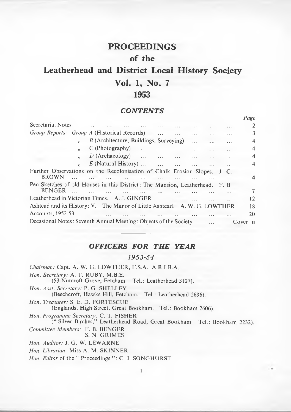## **PROCEEDINGS of the**

## **Leatherhead and District Local History Society Vol. 1, No. 7 1953**

## *CONTENTS*

|                                                                                               |    |                                        |  |           |          |          |          | Page                    |
|-----------------------------------------------------------------------------------------------|----|----------------------------------------|--|-----------|----------|----------|----------|-------------------------|
| Secretarial Notes                                                                             |    |                                        |  |           |          |          | $\cdots$ | 2                       |
| <i>Group Reports: Group A</i> (Historical Records)                                            |    |                                        |  |           |          |          |          | 3                       |
|                                                                                               |    | B (Architecture, Buildings, Surveying) |  |           |          |          |          | 4                       |
|                                                                                               | 99 | $C$ (Photography)                      |  |           | $\cdots$ |          |          | 4                       |
|                                                                                               |    | $D$ (Archaeology)                      |  |           |          |          |          | $\overline{\mathbf{4}}$ |
|                                                                                               |    | $E$ (Natural History)                  |  |           |          | $\ldots$ |          | 4                       |
| Further Observations on the Recolonisation of Chalk Erosion Slopes. J. C.<br><b>BROWN</b>     |    |                                        |  |           |          |          |          | 4                       |
| Pen Sketches of old Houses in this District: The Mansion, Leatherhead. F. B.<br><b>BENGER</b> |    |                                        |  |           |          |          |          | 7                       |
| Leatherhead in Victorian Times. A. J. GINGER                                                  |    |                                        |  | $\ddotsc$ |          |          |          | 12                      |
| Ashtead and its History: V. The Manor of Little Ashtead. A. W. G. LOWTHER                     |    |                                        |  |           |          |          |          | 18                      |
| Accounts, 1952-53                                                                             |    |                                        |  |           |          |          |          | 20                      |
| Occasional Notes: Seventh Annual Meeting: Objects of the Society                              |    |                                        |  |           |          |          |          | Cover<br>- ii           |

## *OFFICERS FOR THE YEAR*

#### *1 9 5 3 -5 4*

*Chairman:* Capt. A. W. G. LOWTHER, F.S.A., A.R.I.B.A. *Hon. Secretary:* A. T. RUBY, M.B.E. (53 Nutcroft Grove, Fetcham. Tel.: Leatherhead 3127). *Hon. Asst. Secretary:* P. G. SHELLEY (Beechcroft, Hawks Hill, Fetcham. Tel.: Leatherhead 2696). *Hon. Treasurer:* S. E. D. FORTESCUE (Englands, High Street, Great Bookham. Tel.: Bookham 2606). *Hon. Programme Secretary:* C. T. FISHER (" Silver Birches," Leatherhead Road, Great Bookham. Tel.: Bookham 2232). *Committee Members:* F. B. BENGER S. N. GRIMES *Hon. Auditor:* J. G. W. LEWARNE *Hon. Librarian:* Miss A. M. SKINNER

*Hon. Editor* of the " Proceedings ": C. J. SONGHURST.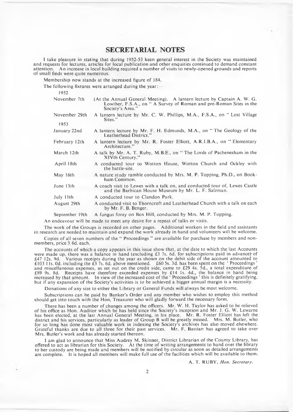## <span id="page-3-0"></span>**SECRETARIAL NOTES**

I take pleasure in stating that during 1952-53 keen general interest in the Society was maintained and requests for lectures, articles for local publication and other enquiries continued to demand constant attention. An increase in local building required a number of visits to newly-opened grounds and reports of small finds were quite numerous.

Membership now stands at the increased figure of 184.

The following fixtures were arranged during the year:-

1952

| November 7th          | (At the Annual General Meeting). A lantern lecture by Captain A. W. G.<br>Lowther, F.S.A., on " A Survey of Roman and pre-Roman Sites in the<br>Society's Area." |
|-----------------------|------------------------------------------------------------------------------------------------------------------------------------------------------------------|
| November 29th<br>1953 | A lantern lecture by Mr. C. W. Phillips, M.A., F.S.A., on "Lost Village<br>Sites."                                                                               |
| January 22nd          | A lantern lecture by Mr. F. H. Edmunds, M.A., on "The Geology of the<br>Leatherhead District."                                                                   |
| February 12th         | A lantern lecture by Mr. R. Foster Elliott, A.R.I.B.A., on "Elementary<br>Architecture."                                                                         |
| March 12th            | A talk by Mr. A. T. Ruby, M.B.E., on "The Lords of Pachenesham in the<br>XIVth Century."                                                                         |
| April 18th            | A conducted tour to Wotton House, Wotton Church and Ockley with<br>the battle-site.                                                                              |
| May 16th              | A nature study ramble conducted by Mrs. M. P. Topping, Ph.D., on Book-<br>ham Common.                                                                            |
| June 13th             | A coach visit to Lewes with a talk on, and conducted tour of, Lewes Castle<br>and the Barbican House Museum by Mr. L. F. Salzman.                                |
| July 11th             | A conducted tour to Clandon Park.                                                                                                                                |
| August 29th           | A conducted visit to Thorncroft and Leatherhead Church with a talk on each<br>by Mr. F. B. Benger.                                                               |

September 19th A fungus foray on Box Hill, conducted by Mrs. M. P. Topping.

An endeavour will be made to meet any desire for a repeat of talks or visits.

The work of the Groups is recorded on other pages. Additional workers in the field and assistants in research are needed to maintain and expand the work already in hand and volunteers will be welcome.

Copies of all seven numbers of the " Proceedings " are available for purchase by members and nonmembers, price 3/6d. each.

The accounts of which a copy appears in this issue show that, at the date to which the last Accounts were made up, there was a balance in hand (excluding £3 7s. 6d. for subscriptions paid in advance) of £47 12s. 9d. Various receipts during the year as shown on the debit side of the account amounted to £103 11s. Od. including the £3 7s. 6d. above mentioned.  $\,$  £60 5s. 3d. has been spent on the ' Proceedings ' and miscellaneous expenses, as set out on the credit side, came to £29 4s. 5d., a total expenditure of £89 9s. 8d. Receipts have therefore exceeded expenses by £14 Is. 4d., the balance in hand being increased by that amount. In view of the increased cost of the 'Proceedings' this is definitely gratifying, but if any expansion of the Society's activities is to be achieved a bigger annual margin is a necessity.

D onations of any size to either the Library or General Funds will always be most welcome.

Subscriptions can be paid by Banker's Order and any member who wishes to employ this method should get into touch with the Hon. Treasurer who will gladly forward the necessary form.

There has been a number of changes among the officers. Mr. W. H. Taylor has asked to be relieved of his office as Hon. A uditor which he has held since the Society's inception and Mr. J. G. W. Lewarne has been elected, at the last Annual General Meeting, in his place. Mr. R. Foster Elliott has left the district and his services, particularly as leader of Group B will be greatly missed. Mrs. M. Butler, who for so long has done most valuable work in indexing the Society's archives has also moved elsewhere. Grateful thanks are due to all three for their past services. Mr. F. Bastian has agreed to take over Mrs. Butler's work and has already started thereon.

I am glad to announce that Miss Audrey M. Skinner, District Librarian of the County Library, has offered to act as librarian for this Society. At the time of writing arrangements to hand over the library to her custody are being made and members will be notified by circular as soon as detailed arrangements are complete. It is hoped all members will make full use of the facilities which will be available to them.

A. T. RUBY, *Hon. Secretary.*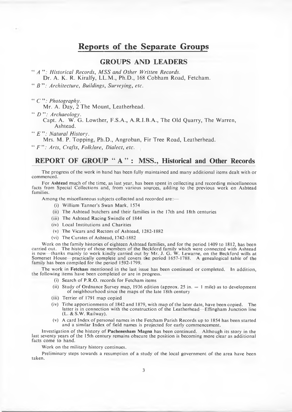## **Reports of the Separate Groups**

## **GROUPS AND LEADERS**

**44** *A 99: Historical Records***,** *M SS and Other Written Records.*

**Dr. A. K. R. Kiralfy, LL.M., Ph.D., 168 Cobham Road, Fetcham.**

**44** *B 99: Architecture***,** *Buildings***,** *Surveying***,** *etc.*

**44** *C 99: Photography.*

**Mr. A. Day, 2 The Mount, Leatherhead.**

**44** *D 99: Archaeology.*

**Capt. A. W. G. Lowther, F.S.A., A.R.I.B.A., The Old Quarry, The Warren, Ashtead.**

**44** *E 99: Natural History.*

**Mrs. M. P. Topping, Ph.D., Angroban, Fir Tree Road, Leatherhead.**

 $\lq$ **'***f*  $\lq$ *'f* $\lq$ *'f***<sub>***f***</sub><sub>***s***</sub>***f***<sub>***f***</sub><sup>***f***</sup><sub>***ff***<sub>***f***</sub><sup>***f***</sup><sub>***ff***<sub>***f***</sub><sup>***f***</sup>***f***<sub>***f***</sub>***f***<sub>***f***</sub>***f***<sub>***f***</sub>***f***<sub>***f***</sub>***f***<sub>***f***</sub>***f***<sub>***f***</sub>***f***<sub>***f***</sub>***f***<sub>***f***</sub>***f***<sub>***f***</sub>***f***<sub>***f***</sub>***f***<sub>***f***</sub>***f***<sub>***f***</sub>***f***<sub>***f***</sub>***f***<sub>***f***</sub>***f***<sub>***f***</sub>***f***<sub>***f*</sub></sub></sub>

## **REPORT OF GROUP " A " : MSS., Historical and Other Records**

The progress of the work in hand has been fully maintained and many additional items dealt with or commenced.

For **Ashtead** much of the time, as last year, has been spent in collecting and recording miscellaneous facts from Special Collections and, from various sources, adding to the previous work on Ashtead families.

Among the miscellaneous subjects collected and recorded are:—

- (i) William Tanner's Swan Mark, 1574
- (ii) The Ashtead butchers and their families in the 17th and 18th centuries
- (iii) The Ashtead Racing Swindle of 1844
- (iv) Local Institutions and Charities
- (v) The Vicars and Rectors of Ashtead, 1282-1882
- (vi) The Curates of Ashtead, 1742-1882

Work on the family histories of eighteen Ashtead families, and for the period 1409 to 1812, has been carried out. The history of those members of the Beckford family which were connected with Ashtead is now—thanks mainly to work kindly carried out by Mr. J. G. W. Lewarne, on the Beckford wills at Somerset House—practically complete and covers the period 1657-1788. A genealogical table of the family has been compiled for the period 1592-1799.

The work in **Fetcham** mentioned in the last issue has been continued or completed. In addition, the following items have been completed or are in progress.

- (i) Search of P.R.O. records for Fetcham items
- (ii) Study of Ordnance Survey map, 1936 edition (approx. 25 in.  $= 1$  mile) as to development of neighbourhood since the maps of the late 18th century
- (iii) Terrier of 1791 map copied
- (iv) Tithe apportionments of 1842 and 1879, with map of the later date, have been copied. The latter is in connection with the construction of the Leatherhead—Effingham Junction line (L. & S.W. Railway).
- (v) A card Index of personal names in the Fetcham Parish Records up to 1854 has been started and a similar Index of field names is projected for early commencement.

Investigation of the history of **Pachenesham Magna** has been continued. Although its story in the last seventy years of the 15th century remains obscure the position is becoming more clear as additional facts come to hand.

Work on the military history continues.

Preliminary steps towards a resumption of a study of the local government of the area have been taken.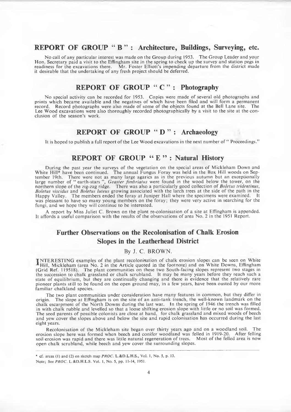## **REPORT OF GROUP " B " : Architecture, Buildings, Surveying, etc.**

No call of any particular interest was made on the Group during 1953. The Group Leader and your Hon. Secretary paid a visit to the Effingham site in the spring to check up the survey and station pegs in readiness for the excavations there. Mr. Foster Elliott's impending departure from the district made it desirable that the undertaking of any fresh project should be deferred.

## **REPORT OF GROUP " C " : Photography**

No special activity can be recorded for 1953. Copies were made of several old photographs and prints which became available and the negatives of which have been filed and will form a permanent record. Record photographs were also made of some of the objects found at the Bell Lane site. The Lee W ood excavations were also thoroughly recorded photographically by a visit to the site at the conclusion of the season's work.

## **REPORT OF GROUP " D " : Archaeology**

It is hoped to publish a full report of the Lee W ood excavations in the next number of " Proceedings."

## **REPORT OF GROUP " E " : Natural History**

During the past year the surveys of the vegetation on the special areas of Mickleham Down and White Hill\* have been continued. The annual Fungus Foray was held in the Box Hill woods on September 19th. There were not as many large agarics as in the previous autumn but an exceptionally large number of " earth-stars ", *Geaster fimbriatus* were found in the wood below the tower, on the northern slope of the zig-zag ridge. There was also a particularly good collection of *Boletus tridentinus*, *Boletus viscidus* and *Boletus luteus* growing associated with the larch trees at the side of the path in the Happy Valley. The members ended the foray at Juniper Hall where the specimens were examined. It was pleasant to have so many young members on the foray; they were very active in searching for the fungi, and we hope they will continue to be interested.

A report by Miss Juliet C. Brown on the plant re-colonisation of a site at Effingham is appended. It affords a useful comparison with the results of the observations of area No. 2 in the 1951 Report.

## **Further Observations on the Recolonisation of Chalk Erosion Slopes in the Leatherhead District**

#### **By J. C. BROWN.**

**TNTERESTING** examples of the plant recolonisation of chalk erosion slopes can be seen on White Hill, Mickleham (area No. 2 in the Article quoted in the footnote) and on White Downs, Effingham (Grid Ref. 119518). The plant communities on these two South-facing slopes represent two stages in the succession to chalk grassland or chalk scrubland. It may be many years before they reach such a state of equilibrium, but they are continually changing and there is evidence that the relatively rare pioneer plants still to be found on the open ground may, in a few years, have been ousted by our more familiar chalkland species.

The two plant communities under consideration have many features in common, but they differ in origin. The slope at Effingham is on the site of an anti-tank trench, the well-known landmark on the chalk escarpment of the North Downs during the last war. In the spring of 1946 the trench was filled in with chalk rubble and levelled so that a loose shifting erosion slope with little or no soil was formed. The seed parents of possible colonists are close at hand, for chalk grassland and mixed woods of beech and yew cover the slopes above and below the site and rapid colonisation has occurred during the last eight years.

Recolonisation of the Mickleham site began over thirty years ago and on a woodland soil. The erosion slope here was formed when beech and conifer woodland was felled in 1919-20. After felling soil erosion was rapid and there was little natural regeneration of trees. Most of the felled area is now open chalk scrubland, while beech and yew cover the surrounding slopes.

<sup>\*</sup> cf. areas (1) and (2) on sketch map *PROC*. L.&D.L.H.S., Vol. 1, No. 5, p. 13. Note; See *PROC.* L.&D.H.L.S. Vol. 1, No. 5, pp. 11-14, 1951.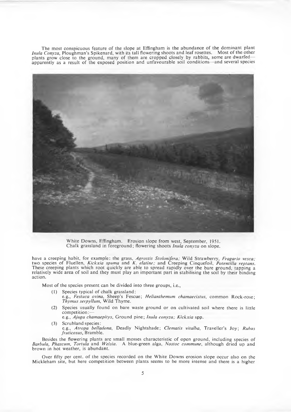The most conspicuous feature of the slope at Effingham is the abundance of the dominant plant *Inula Conyza*, Ploughman's Spikenard, with its tall flowering shoots and leaf rosettes. Most of the other plants grow close to the ground, many of them are cropped closely by rabbits, some are dwarfed apparently as a result of the exposed position and unfavourable soil conditions—and several species



White Downs, Effingham. Erosion slope from west, September, 1951. Chalk grassland in foreground; flowering shoots *Inula conyza* on slope.

have a creeping habit, for example: the grass, *Agrostis Stolonifera;* Wild Strawberry, *Fragario vesca;* two species of Fluellen, *K ickxia spuma* and *K. elatine;* and Creeping Cinquefoil, *Potentilla reptans.* These creeping plants which root quickly are able to spread rapidly over the bare ground, tapping a relatively wide area of soil and they must play an important part in stabilising the soil by their binding action.

Most of the species present can be divided into three groups, i.e.,

- (1) Species typical of chalk grassland:
- e.g., *Festuca ovina,* Sheep's Fescue; *H elianthemum chamaecistus*, common Rock-rose; *Thymus serpyllum,* Wild Thyme.
- (2) Species usually found on bare waste ground or on cultivated soil where there is little competition:
	- e.g., *Ajuga chamaepitys*, Ground pine; *Inula conyza; Kickxia* spp.
- (3) Scrubland species:
	- e.g., *Atropa belladona,* Deadly Nightshade; *C lematis vitalba*, Traveller's Joy; *Rubus fruticosus*, Bramble.

Besides the flowering plants are small mosses characteristic of open ground, including species of *Barbula*, *Phascum*, *Tortula* and *Weisia.* A blue-green alga, *N ostoc commune*, although dried up and brown in hot weather, is abundant.

Over fifty per cent, of the species recorded on the White Downs erosion slope occur also on the Mickleham site, but here competition between plants seems to be more intense and there is a higher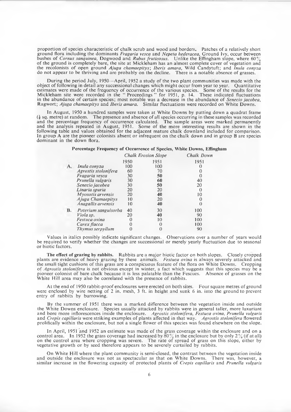proportion of species characteristic of chalk scrub and wood and borders. Patches of a relatively short ground flora including the dominants *Fragaria vesca* and *Nepeta hederacea*, Ground Ivy, occur between bushes of *Cornus sanquinea*, Dogwood and *Rubus fruticosus.* Unlike the Effingham slope, where 60% of the ground is completely bare, the site at Mickleham has an almost complete cover of vegetation and the recolonists of open ground *Ajuga cham aepitys*; *Iberis amara,* Wild Candytuft; and *Inula conyza* do not appear to be thriving and are probably on the decline. There is a notable absence of grasses.

During the period July, 1950—April, 1952 a study of the two plant communities was made with the object of following in detail any successional changes which might occur from year to year. Quantitative estimates were made of the frequency of occurrence of the various species. Some of the results for the Mickleham site were recorded in the " Proceedings" for 1951, p. 14. These indicated fluctuations in the abundance of certain species; most notable was a decrease in the abundance of *Senecio jacobea*, Ragwort; *Ajuga chamaepitys* and *Iberis amara.* Similar fluctuations were recorded on White Downs.

In August, 1950 a hundred samples were taken at White Downs by putting down a quadrat frame  $(i)$  sq. metre) at random. The presence and absence of all species occurring in these samples was recorded and the percentage frequency of occurrence calculated. The sample areas were marked permanently and the analysis repeated in August, 1951. Some of the more interesting results are shown in the following table and values obtained for the adjacent mature chalk downland included for comparison. In group A are the pioneer colonists absent or infrequent on the chalk down and in group B are species dominant in the down flora.

#### Percentage Frequency of Occurrence of Species, White Downs, Effingham

|    |                      |          | <b>Chalk Erosion Slope</b> | Chalk Dowr |
|----|----------------------|----------|----------------------------|------------|
|    |                      | 1950     | 1951                       | 1951       |
| А. | Inula conyza         | 100      | 100                        |            |
|    | Agrostis stolonifera | 60       | 70                         |            |
|    | Fragaria vesca       | 30       | 50                         |            |
|    | Prunella vulgaris    | 30       | 60                         | 40         |
|    | Senecio jacobea      | 30       | 50                         | 20         |
|    | Linaria spuria       | 20       | 20                         | 0          |
|    | Myosotis arvensis    | 20       | 40                         | 10         |
|    | Ajuga Chamaepitys    | 10       | 20                         |            |
|    | Anagallis arvensis   | 10       | 40                         |            |
| B. | Poterium sanguisorba | 40       | 30                         | 100        |
|    | Viola sp.            | 20       | 40                         | 90         |
|    | Festuca ovina        | $\Omega$ | 10                         | 100        |
|    | Carex flacca         | 0        | 0                          | 100        |
|    | Thymus serpyllum     |          |                            | 90         |

Values in italics possibly indicate significant changes. Observations over a number of years would be required to verify whether the changes are successional or merely yearly fluctuation due to seasonal or biotic factors.

The effect of grazing by rabbits. Rabbits are a major biotic factor on both slopes. Closely cropped plants are evidence of heavy grazing by these animals. *Festuca ovina* is always severely attacked and the small tight cushions of this grass are a conspicuous feature of the flora on White Downs. Cropping of *Agrostis stolonifera* is not obvious except in winter, a fact which suggests that this species may be a pioneer colonist of bare chalk because it is less palatable than the Fescues. Absence of grasses on the White Hill area may also be correlated with the presence of rabbits.

At the end of 1950 rabbit-proof enclosures were erected on both sites. Four square metres of ground were enclosed by wire netting of 2 in. mesh, 3 ft. in height and sunk 6 in. into the ground to prevent entry of rabbits by burrowing.

By the summer of 1951 there was a marked difference between the vegetation inside and outside the White Downs enclosure. Species usually attacked by rabbits were in general taller, more luxuriant and bore m ore inflorescences inside the enclosure. *Agrostis stolonifera*, *Festuca ovina*, *Prunella vulgaris* and *Crepis capillaris* were striking examples of plants affected in that way. *Agrostis stolonifera* flowered prolifically within the enclosure, but not a single flower of this species was found elsewhere on the slope.

In April, 1951 and 1952 an estimate was made of the grass coverage within the enclosure and on a control area. In 1952 the grass coverage had increased by 80% in the enclosure but by only  $2\%$  (if at all) on the control area where cropping was severe. The rate of spread of grass on this slope, either by vegetative growth or by seed therefore appears to be severely curtailed by rabbits.

On White Hill where the plant community is semi-closed, the contrast between the vegetation inside and outside the enclosure was not as spectacular as that on White Downs. There was, however, a similar increase in the flowering capacity of protected plants of *Crepis capillaris* and *Prunella vulgaris*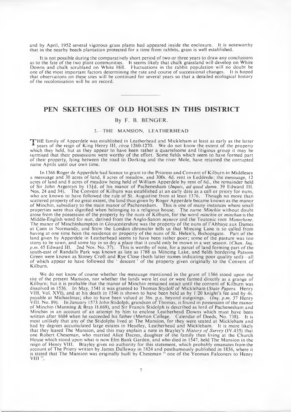and by April, 1952 several vigorous grass plants had appeared inside the enclosure. It is noteworthy that in the nearby beech plantation protected for a time from rabbits, grass is well established.

It is not possible during the comparatively short period of two or three years to draw any conclusions as to the fate of the two plant communities. It seems likely that chalk grassland will develop on White Downs and chalk scrubland on White Hill. Fluctuations in the rabbit population will no doubt be one of the most im portant factors determining the rate and course of successional changes. It is hoped that observations on these sites will be continued for several years so that a detailed ecological history of the recolonisation will be on record.

## **PEN SKETCHES OF OLD HOUSES IN THIS DISTRICT**

#### **By F. B. BENGER.**

#### 3. THE MANSION, LEATHERHEAD

THE family of Apperdele was established in Leatherhead and Mickleham at least as early as the latter years of the reign of King Henry III, *circa* 1260-1270. We do not know the extent of the property which they held, but as they appear to have been rather a quarrelsome and litigious group it may be surmised that their possessions were worthy of the effort. Some fields which seem to have formed part of their property, lying between the road to Dorking and the river Mole, have retained the corrupted name Aprils until our own time.

In 1366 Roger de Apperdele had licence to grant to the Prioress and Convent of Kilburn in Middlesex a messuage and 30 acres of land, 8 acres of meadow, and 300s. 4d. rent in Leddrede; the messuage, 12 acres of land and 8 acres of meadow being held of William Apperdele by rent of 6d., the remainder held of Sir John Argentyn by 13|d. of his m anor of Pachenesham (*Inquis*, *ad quod damn.* 39 Edward III. Nos. 24 and 34). The Convent of Kilburn was established at an early date as a cell or priory for nuns, who are known to have followed the rule of St. Augustine from at least 1376. Though no more than scattered property of no great extent, the land thus given by Roger Apperdele became known as the manor of Minchin, subsidiary to the main manor of Pachenesham. This is one of many instances where small properties were thus dignified when belonging to a religious house. The name *Minchin* without doubt arose from the possession of the property by the nuns of Kilburn, for the word *minchin* or *minchun* is the Middle-English word for nun, derived from the Anglo-Saxon *m ynece* and the Teutonic root *Munechene.* The manor of Minchinhampton in Gloucestershire was the property of the nuns of FAbbaye aux Dames at Caen in Normandy, and Stow the London chronicler tells us that Mincing Lane is so called from having at one time been the residence or property of the nuns of St. Helen's, Bishopsgate. Part of the land given by Apperdele in Leatherhead seems to have been rather poor; some of the pasture was too stony to be sown, and some lay in so dry a place that it could only be mown in a wet season. *{Chan. Inq. p.m .* 45 Edward 111. 2nd Nos. No. 37). This is worthy of note, for a parcel of land forming part of the south-east of Randalls Park was known as late as 1788 as Mincing Lake, and fields bordering Patsom Green were known as Stoney Croft and Rye Close (both latter names indicating poor quality soil)—all of which appear to have followed the ' descent' of the property given originally to the Convent of Kilburn.

We do not know of course whether the messuage mentioned in the grant of 1366 stood upon the site of the present Mansion, nor whether the lands were let out or were farmed directly as a grange of Kilburn; but it is probable that the manor of Minchin remained intact until the convent of Kilburn was dissolved in 1536. In May, 1541 it was granted to Thomas Stydolf of Mickleham *(State Papers.* Henry VIII, Vol. XVI), and at his death in 1546 is shown to have been held as by 1 20 knight's fee and by 4s. payable at Michaelmas; also to have been valued at 36s. p.a. beyond outgoings. *{Inq. p.m .* 37 Henry VIII. No. 89). In January 1573 John Stidolph, grandson of Thomas, is found in possession of the manor of Minchin (Manning & Bray 11.669), and Sir Francis Stidolph is described as lord of Pachenesham and Minchin in an account of an attempt by him to enclose Leatherhead Downs which must have been written after 1604 when he succeeded his father (Merton College. Calendar of Deeds, No. 738). It is most unlikely that any of the Stidolphs lived at The Mansion, for they were seated at Mickleham and had by degrees accumulated large estates in Headley, Leatherhead and Mickleham. It is more likely that they leased The Mansion, and this may explain a note in Brayley's *History of Surrey* (IV.435) that one Robert Cheseman, who married Alice Dacres, daughter of the family then living at the Church House which stood upon what is now Elm Bank Garden, and who died in 1547, held The Mansion in the reign of Henry VIII. Brayley gives no authority for this statement, which probably emanates from the account of The Priory written by James Dallaway in 1824 and posthumously published in 1836, where it is stated that The Mansion was originally built by Cheseman " one of the Yeoman Falconers to Henry VIII<sup>11</sup>.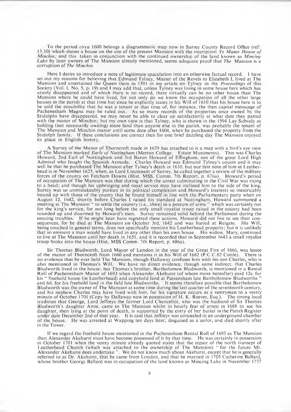To the period *circa* 1600 belongs a diagrammatic map now in Surrey County Record Office (ref: 15/10) which shows a house on the site of the present Mansion with the inscription *Ye M aner Howse o f Minchin;* and this taken in conjunction with the continued ownership of the land known as *Mincing* Lake by later owners of The Mansion already mentioned, seems adequate proof that *The Mansion* is a corruption of *The Minchin.*

Here I desire to introduce a note of legitimate speculation into an otherwise factual record. I have set out my reasons for believing that Edmund Tylney, Master of the Revels to Elizabeth 1, lived at The Mansion and entertained the Queen there in 1591 in my article on Tylney in the *Proceedings* of this Society (Vol. I, No. 5, p. 19) and 1 may add that, unless Tylney was living in some house here which has utterly disappeared and of which there is no record, there virtually can be no other house than The Mansion where he could have lived, for not only do we know the occupation of all the other large houses in the parish at that time but since he explicitly states in his Will of 1610 that his house here is to be sold the possibility that he was a tenant at that time of, for instance, the then capital messuage of Pachenesham Magna may be ruled out. As so many records of the properties once owned by the Stidolphs have disappeared, we may never be able to clear up satisfactorily at what date they parted with the manor of Minchin; but my own view is that Tylney, who is shown in the 1594 Lay Subsidy as holding (not necessarily owning) more land than anyone else in the parish, was probably the tenant of The Mansion and Minchin manor until some date after 1604, when he purchased the property from the Stidolph family. If these conclusions are correct then for one brief dazzling day The Mansion enjoyed its place in English history.

A Survey of the Manor of Thorncroft made in 1629 has attached to it a map with a bird's eye view of The Mansion marked *Earle of Nottingham* (Merton College. Estate Muniments). This was Charles Howard, 2nd Earl of Nottingham and 3rd Baron Howard of Effingham, son of the great Lord High Admiral who fought the Spanish Armada. Charles Howard was Edmund Tylney's cousin and it may well be that he purchased The Mansion after Tylney's death in 1610, but our first note of him at Leatherhead is in November 1625, when, as Lord Lieutenant of Surrey, he called together a review of the military forces of the county on Fetcham Downs (Hist. MSS. Comm. 7th Report, p. 676a). Howard's period of occupation of The Mansion was that during which the unrest culminating in the Civil War was rising to a head; and though his upbringing and royal service may have inclined him to the side of the king, Surrey was so unmistakeably puritan in its political complexion and Howard's interests so inextricably bound up with those of the county that he found himself in line with the Parliamentary party when on August 12, 1642, shortly before Charles I raised his standard at Nottingham, Howard summoned a meeting at The Mansion " to settle the country (i.e., shire) in a posture of arms " which was certainly not for the king's service, for not long before the only small royalist troop raised in the county had been rounded up and disarmed by Howard's men. Surrey remained solid behind the Parliament during the ensuing troubles. If he might later have regretted these actions, Howard did not live to see their consequences, for he died at The Mansion on October 3rd, 1642 and was buried at Reigate. His Will, being couched in general terms, does not specifically mention his Leatherhead property; but it is unlikely that so eminent a man would have lived in any other than his own house. His widow, Mary, continued to live at The Mansion until her death in 1651, and it is recorded that in September 1643 a small royalist troop broke into the house (Hist. MSS Comm. 7th Report, p. 686a).

Sir Thomas Bludworth, Lord Mayor of London in the year of the Great Fire of 1666, was lessee of the manor of Thorncroft from 1660 and mentions it in his Will of 1682 (P.C.C.82 Cottle). There is no evidence that he ever held The Mansion, though Dallaway confuses him with his son Charles, who is also mentioned in Thomas's Will. We have no direct evidence, though some indirect, that Charles Bludworth lived in the house; but Thomas's brother, Bartholomew Bludworth, is mentioned in a Rental Roll of Pachenesham Manor of 1693 when Alexander Akehurst (of whom more hereafter) paid 12s. for his " freehold house (in Leatherhead) and copyhold land at Patsensham late Bartholomew Bludworths " and 6d. for his freehold land in the field late Bludworths. It seems therefore possible that Bartholomew Bludworth was the owner of The Mansion at some time during the last quarter of the seventeenth century, and his nephew Charles may have lived with him, for his signature occurs as a vestryman to a vestry minute of October 1701 (Copy by Dallaway now in possession of H. K. Reeves, Esq.). The strong local tradition that George, Lord Jeffreys the former Lord Chancellor, who was the husband of Sir Thomas Bludworth's daughter Anne, came to The Mansion whilst in hourly fear of arrest in 1688 to see his daughter, then lying at the point of death, is supported by the entry of her burial in the Parish Register under date December 2nd of that year. It is said that Jeffreys was concealed in an underground chamber of the house. He was arrested at W apping ten days later, disguised as a sailor, and died shortly after in the Tower.

If we regard the freehold house mentioned in the Pachenesham Rental Roll of 1693 as The Mansion then Alexander Akehurst must have become possessed of it by that time. He was certainly in possession in October 1701 when the vestry minute already quoted states that the repair of the north transept of Leatherhead Church (which was attached to the ownership of The Mansion) " for the future Mr. Alexander Akehurst does undertake ". We do not know much about Akehurst, except that he is generally referred to as Dr. Akehurst, that he came from London, and that he married in 1705 Catherine Ballard, whose brother George Ballard was in occupation of the land known as Mincing Lake in November 1737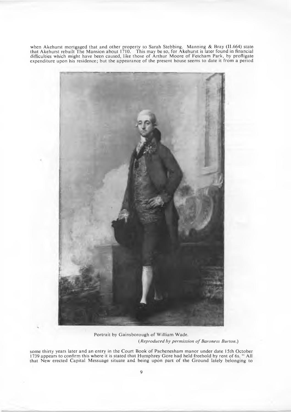when Akehurst mortgaged that and other property to Sarah Stebbing. Manning & Bray (11.664) state that Akehurst rebuilt The Mansion about 1710. This may be so, for Akehurst is later found in financial difficulties which might have been caused, like those of A rthur Moore of Fetcham Park, by profligate expenditure upon his residence; but the appearance of the present house seems to date it from a period



Portrait by Gainsborough of William Wade. *(Reproduced by permission of Baroness Burton.)* 

some thirty years later and an entry in the Court Book of Pachenesham manor under date 15th October 1739 appears to confirm this where it is stated that Humphrey Gore had held freehold by rent of 6s. "All that New erected Capital Messuage situate and being upon part of the Ground lately belonging to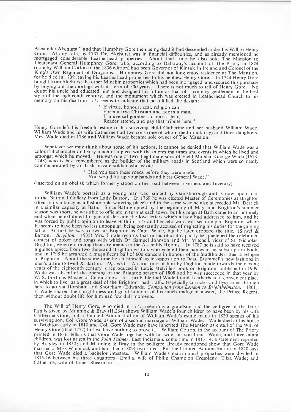Alexander Akehurst " and that Humphry Gore then being dead it had descended under his Will to Henry Gore. At any rate, by 1737 Dr. Akehurst was in financial difficulties, and as already mentioned he mortgaged considerable Leatherhead properties. About that time he also sold The Mansion to Lieutenant General Humphrey Gore, who, according to Dallaway's account of The Priory in 1824 (note by William Cotton to the 1836 edition) had been Governor of Kinsale in Ireland and Colonel of the King's Own Regiment of Dragoons. Humphrey Gore did not long enjoy residence at The Mansion, for he died in 1739 leaving his Leatherhead properties to his nephew Henry Gore. In 1744 Henry Gore bought from Akehurst the other Minchin properties which had been mortgaged, and secured this purchase<br>by buying out the mortage with its term of 500 years. There is not much to tell of Henry Gore by buying out the mortage with its term of 500 years. There is not much to tell of Henry Gore. doubt his uncle had educated him and designed his future as that of a country gentleman in the best style of the eighteenth century, and the monument which was erected in Leatherhead Church to his memory on his death in 1777 seems to indicate that he fulfilled the design:-

> " If virtue, honour, zeal, religion can Form a true Christian and adorn a man, If universal goodness claims a tear, Reader attend, and pay that tribute here."

Henry Gore left his freehold estate to his surviving child Catherine and her husband William Wade. William Wade and his wife Catherine had two sons (one of whom died in infancy) and three daughters. Mrs. Wade died in 1786 and William Wade became sole owner of The Mansion.

W hatever we may think about some of his actions, it cannot be denied that William Wade was a colourful character and very much of a piece with the interesting times and events in which he lived and amongst which he moved. He was one of two illegitimate sons of Field-Marshal George Wade (1673- 1748) who is best remembered as the builder of the military roads in Scotland which were so neatly commemorated by an Irish private soldier who wrote:—

" Had you seen these roads before they were made

You would lift up your hands and bless General Wade."

(inserted on an obelisk which formerly stood on the road between Inverness and Inverary).

William Wade's portrait as a young man was painted by Gainsborough and is now upon loan to the National Gallery from Lady Burton. In 1769 he was elected Master of Ceremonies at Brighton (then in its infancy as a fashionable watering place) and in the same year he also succeeded Mr. Derrick in a similar capacity at Bath. Since Bath emptied by the beginning of May, and Brighton's summer season was short, he was able to officiate in turn at each town; but his reign at Bath came to an untimely end when he exhibited for general derision the love letters which a lady had addressed to him, and he was forced by public opinion to leave Bath in 1777 and henceforward was seen only at Brighton, where he seems to have been no less unpopular, being constantly accused of neglecting his duties for the gaming table. At first he was known at Brighton as Capt. Wade, but he later dropped the title. (Sitwell  $\&$ Barton. *Brighton.* 1935) Mrs. Thrale records that in his official capacity he quietened the celebrated contest of poker and tongs with which Dr. Samuel Johnson and Mr. Mitchell, vicar of St. Nicholas, Brighton, were reinforcing their arguments in the Assembly Rooms. In 1787 he is said to have received a guinea apiece from two thousand Brighton visitors who entered their names in his subscription book, and in 1795 he arranged a magnificent ball of 600 dancers in honour of the Stadtholder, then a refugee in Brighton. About the same time he set himself up in opposition to Beau Brummell's new fashions in men's attire (Sitwell & Barton. *Op. cit.).* A caricature of him by Dighton made towards the closing years of the eighteenth century is reproduced in Lewis Melville's book on Brighton, published in 1909. Wade was absent at the opening of the Brighton season of 1808 and he was succeeded in that year by W. S. Forth as Master of Ceremonies. It is probable that Wade found Leatherhead a convenient place in which to live, as a great deal of the Brighton road traffic (especially curricles and flys) came through here to go via Horsham and Shoreham (Edwards. *Companion from London to Brighthelmston.* 1801). If Wade shared the sprightliness and good humour of his much maligned master, the Prince Regent, then without doubt life for him had few dull moments.

The Will of Henry Gore, who died in 1777, mentions a grandson and the pedigree of the Gore family given by Manning & Bray (II.264) shows William Wade's four children to have been by his wife Catherine Gore; but a Limited Administration of William Wade's estate made in 1820 speaks of his surviving son, Col. Gore Wade, as son of a second marriage of William Wade. Wade died at his house at Brighton early in 1810 and Col. Gore Wade may have inherited The Mansion as entail of the Will of Henry Gore (died 1777) but we have nothing to prove it. William Cotton, in the account of The Priory printed in 1836, tells us that Gore Wade together with his wife, his son Lieut. Wade, and three infant children, was lost at sea in the *John Palmer*, East Indiaman, some time in 1813/14, a statement repeated by Brayley in 1850; and Manning & Bray in the pedigree already mentioned show that Gore Wade married a Miss Whitelock and had then (1809) two sons. But the Limited Administration of 1820 says that Gore Wade died a bachelor intestate. William Wade's matrimonial properties were divided in 1815/16 between his three daughters—Emilia, wife of Philip Champion Crespigny; Eliza Wade; and Catherine, wife of James Shearman.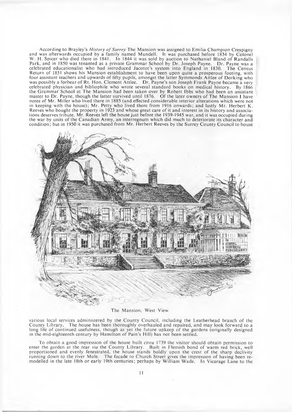According to Brayley's *History of Surrey* The Mansion was assigned to Emilia Champion Crespigny and was afterwards occupied by a family named Mundell. It was purchased before 1834 by Colonel W. H. Spicer who died there in 1841. In 1844 it was sold by auction to Nathaniel Bland of Randalls Park, and in 1850 was tenanted as a private Grammar School by Dr. Joseph Payne. Dr. Payne was a celebrated educationalist who had introduced Jacotot's system into England in 1830. The Census Return of 1851 shows his Mansion establishment to have been upon quite a prosperous footing, with four assistant teachers and upwards of fifty pupils, amongst the latter Symmonds Attlee of Dorking who was possibly a forbear of Rt. Hon. Clement Attlee. Dr. Payne's son Joseph Frank Payne became a very celebrated physician and bibliophile who wrote several standard books on medical history. By 1866 the Grammar School at The Mansion had been taken over by Robert Ibbs who had been an assistant master to Dr. Payne, though the latter survived until 1876. Of the later owners of The Mansion I have notes of Mr. Miller who lived there in 1885 (and effected considerable interior alterations which were not in keeping with the house); Mr. Petty who lived there from 1916 onwards; and lastly Mr. Herbert K. Reeves who bought the property in 1923 and whose great care of it and interest in its history and associations deserves tribute. Mr. Reeves left the house just before the 1939-1945 war, and it was occupied during the war by units of the Canadian Army, an interregnum which did much to deteriorate its character and condition; but in 1950 it was purchased from Mr. Herbert Reeves by the Surrey County Council to house



The Mansion, West View,

various local services administered by the County Council, including the Leatherhead branch of the County Library. The house has been thoroughly overhauled and repaired, and may look forward to a long life of continued usefulness, though as yet the future upkeep of the gardens (originally designed in the mid-eighteenth century by Hamilton of Pain's Hill) has not been settled.

To obtain a good impression of the house built *circa* 1739 the visitor should obtain permission to enter the garden at the rear *via* the County Library. Built in Flemish bond of warm red brick, well proportioned and evenly fenestrated, the house stands boldly upon the crest of the sharp declivity running down to the river Mole. The facade to Church Street gives the impression of having been remodelled in the late 18th or early 19th centuries; perhaps by William Wade. In Vicarage Lane to the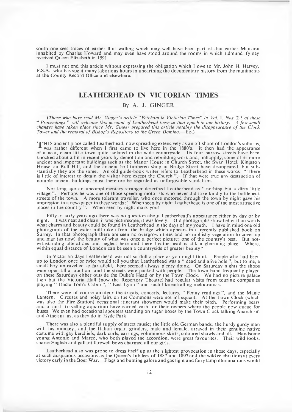south one sees traces of earlier flint walling which may well have been part of that earlier Mansion inhabited by Charles Howard and may even have stood around the rooms in which Edmund Tylney received Queen Elizabeth in 1591.

I must not end this article without expressing the obligation which I owe to Mr. John H. Harvey, F.S.A., who has spent many laborious hours in unearthing the documentary history from the muniments at the County Record Office and elsewhere.

### **LEATHERHEAD IN VICTORIAN TIMES**

## **By A. J. GINGER.**

*(Those who have read M r. Ginger's article "Fetcham in Victorian Times*" *in Vol.* 1, *Nos.* 2-3 *o f these* " Proceedings" will welcome this account of Leatherhead town at that epoch in our history. A few small *changes have taken place since Mr. Ginger prepared this article notably the disappearance of the Clock Tower and the removal of Bishop's Repository to the Green Domino.*—ED.)

HTHIS ancient place called Leatherhead, now spreading extensively as an off-shoot of London's suburbs, A was rather different when I first came to live here in the 1880's. It then had the appearance of a neat, clean little town quite isolated in the wide countryside. Its four narrow streets have been knocked about a bit in recent years by demolition and rebuilding work and, unhappily, some of its more ancient and important buildings such as the Manor House in Church Street, the Swan Hotel, Kingston House on Bull Hill, and the ancient half-timbered shop in Bridge Street have disappeared, but substantially they are the same. An old guide-book writer refers to Leatherhead in these words: " There is little of interest to detain the visitor here except the Church "If that were true any destruction of notable ancient buildings must therefore be regarded as unforgivable vandalism.

Not long ago an uncomplimentary stranger described Leatherhead as " nothing but a dirty little village ". Perhaps he was one of those speeding motorists who never did take kindly to the bottleneck streets of the town. A more tolerant traveller, who once motored through the town by night gave his impression in a newspaper in these words: "When seen by night Leatherhead is one of the most attractive impression in a newspaper in these words: "When seen by night Leatherhead is one of the most attractive places in the country ". When seen by night mark you!

Fifty or sixty years ago there was no question about Leatherhead's appearance either by day or by night. It was neat and clean, it was picturesque, it was lovely. Old photographs show better than words what charm and beauty could be found in Leatherhead in the days of my youth. I have in mind one old photograph of the water mill taken from the bridge which appears in a recently published book on Surrey. In that photograph there are seen no overgrown trees and no rubbishy vegetation to cover up and mar (as now) the beauty of what was once a perfect picture; one of the country's best. But notwithstanding alterations and neglect here and there Leatherhead is still a charming place. Where, within equal distance of London can be seen a countryside of greater beauty?

In Victorian days Leatherhead was not so dull a place as you might think. People who had been up to London once or twice would tell you that Leatherhead was a " dead and alive hole " , but to me, a small boy untravelled so far afield, there seemed always plenty doing. On Saturday nights the shops were open till a late hour and the streets were packed with people. The town band frequently played on these Saturdays either outside the Duke's Head or by the Town Clock. We had no picture palace then but the Victoria Hall (now the Repertory Theatre) had regular visits from touring companies playing " Uncle Tom's Cabin ", " East Lynn " and such like entralling melodramas

There were of course amateur theatricals, concerts, lectures, " Penny readings ", and the Magic Lantern. Circuses and noisy fairs on the Commons were not infrequent. At the Town Clock (which was also the Fire Station) occasional itinerant showmen would make their pitch. Performing bears and a small travelling aquarium have earned cash for their owners where the people now queue for buses. We even had occasional spouters standing on sugar boxes by the Town Clock talking Anarchism and Atheism just as they do in Hyde Park.

There was also a plentiful supply of street music; the little old German bands; the hurdy gurdy man with his monkey; and the Italian organ grinders, male and female, arrayed in their genuine native costume with gay kerchiefs, dark curls, earrings, voluminous skirts, coloured shawls and all. Handsome young Antonio and Marco, who both played the accordion, were great favourites. Their wild looks, sparse English and gallant farewell bows charmed all our girls.

Leatherhead also was prone to dress itself up at the slightest provocation in those days, especially at such auspicious occasions as the Queen's Jubilees of 1887 and 1897 and the wild celebrations at every victory early in the Boer War. Flags and bunting galore and gas light and fairy lamp illuminations would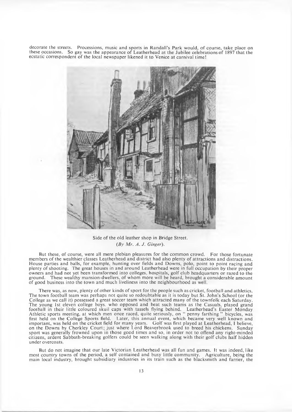decorate the streets. Processions, music and sports in Randall's Park would, of course, take place on these occasions. So gay was the appearance of Leatherhead at the Jubilee celebrations of 1897 that the ecstatic correspondent of the local newspaper likened it to Venice at carnival time!



Side of the old leather shop in Bridge Street. *(By Mr. A. J. Ginger).* 

But these, of course, were all mere plebian pleasures for the common crowd. For those fortunate members of the wealthier classes Leatherhead and district had also plenty of attractions and distractions. House parties and balls, for example, hunting over fields and Downs, polo, point to point racing and plenty of shooting. The great houses in and around Leatherhead were in full occupation by their proper owners and had not yet been transformed into colleges, hospitals, golf club headquarters or razed to the ground. These wealthy mansion-dwellers, of whom more will be heard, brought a considerable amount of good business into the town and much liveliness into the neighbourhood as well.

There was, as now, plenty of other kinds of sport for the people such as cricket, football and athletics. The town football team was perhaps not quite so redoubtable as it is today but St. John's School (or the College as we call it) possessed a great soccer team which attracted many of the townfolk each Saturday. The young 1st eleven college boys, who opposed and beat such teams as the Casuals, played grand football in their little coloured skuil caps with tassels flying behind. Leatherhead's Easter Monday Athletic sports meeting, at which men once raced, quite seriously, on " penny farthing " bicycles, was first held on the College Sports field. Later, this annual event, which became very well known and important, was held on the cricket field for many years. G olf was first played at Leatherhead, I believe, on the Downs by Cherkley Court; just where Lord Beaverbrook used to breed his chickens. Sunday sport was generally frowned upon in those good times and so, in order not to offend any right-minded citizens, ardent Sabbath-breaking golfers could be seen walking along with their golf clubs half hidden under overcoats.

But do not imagine that our late Victorian Leatherhead was all fun and games. It was indeed, like most country towns of the period, a self contained and busy little community. Agriculture, being the main local industry, brought subsidiary industries in its train such as the blacksmith and farrier, the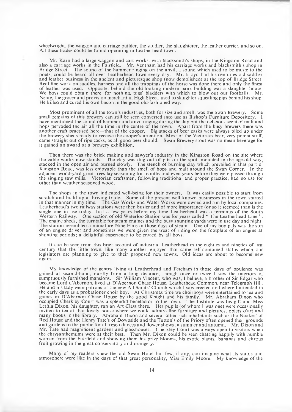wheelwright, the waggon and carriage builder, the saddler, the slaughterer, the leather currier, and so on. All these trades could be found operating in Leatherhead town.

Mr. Karn had a large waggon and cart works, with blacksmith's shops, in the Kingston Road and also a carriage works in the Fairfield. Mr. Ventham had his carriage works and blacksmith's shop in Bridge Street. The sound of the hammer ringing on the anvil, a sound which used to be music to the poets, could be heard all over Leatherhead town every day. Mr. Lloyd had his centuries-old saddler and leather business in the ancient and picturesque shop (now demolished) at the top of Bridge Street. Real fine work on saddles, harness and all the trappings of the horse was done there and only the finest of leather was used. Opposite, behind the old-looking modern bank building was a slaughter house. We boys could obtain there, for nothing, pigs' bladders with which to blow out our footballs. Mr. Neate, the grocer and provision merchant in High Street, used to slaughter squealing pigs behind his shop. He killed and cured his own bacon in the good old-fashioned way.

Most prominent of all the town's industries, both for size and smell, was the Swan Brewery. Some small remains of this brewery can still be seen converted into use as Bishop's Furniture Depository. I have mentioned the sound of hammer and anvil ringing during the day but the delicious scent of malt and hops pervaded the air all the time in the centre of the town. Apart from the busy brewers there was another craft practised here—that of the cooper. Big stacks of beer casks were always piled up under the brewery sheds ready to receive the cooper's attention. Most of the Victorian beer, very potent stuff, came straight out of ripe casks, as all good beer should. Swan Brewery stout was no mean beverage for it gained an award at a brewery exhibition.

Then there was the brick making and sawyer's industry in the Kingston Road on the site where the cable works now stands. The clay was dug out of pits on the spot, moulded in the age-old way, stacked in the open air and burned slowly. The stench of burning clay which prevailed in that part of Kingston Road, was less enjoyable than the smell of hops and malt around the Swan Corner. In the adjacent wood-yard great trees lay seasoning for months and even years before they were passed through the singing saw mills. Victorian craftsmen, following traditiohal and proper practice, had no use for other than weather seasoned wood.

The shops in the town indicated well-being for their owners. It was easily possible to start from scratch and build up a thriving trade. Some of the present well known businesses in the town started in that manner in my time. The Gas Works and Water Works were owned and run by local companies. Leatherhead's two railway stations were then busier and of more importance (or so it seemed) than is the single one in use today. Just a few years before my time Leatherhead was a terminus of the South Western Railway. One section of old Waterloo Station was for years called " The Leatherhead Line " . The engine sheds, the turntable for steam engines and the busy shunting yards were in use day and night. The station resembled a miniature Nine Elms in those days of steam. One of my boy pals was the son of an engine driver and sometimes we were given the treat of riding on the footplate of an engine at shunting periods; a delightful experience to be envied by all boys.

It can be seen from this brief account of industrial Leatherhead in the eighties and nineties of last century that the little town, like many another, enjoyed that same self-contained status which our legislators are planning to give to their proposed new towns. Old ideas are about to become new again.

My knowledge of the gentry living at Leatherhead and Fetcham in those days of opulence was gained at second-hand, mostly from a long distance, though once or twice I saw the interiors of sumptuously furnished mansions. Sir William Vincent, who was, I believe, a brother of Sir Edgar who became Lord d'Abernon, lived at D 'Abernon Chase House, Leatherhead Common, near Telegraph Hill. He and his lady were patrons of the new All Saints' Church which I saw erected and where I attended in the early days as a probationer choir boy. At Christmas time we choirboys were entertained to tea and games in D'Abernon Chase House by the good Knight and his family. Mr. Abraham Dixon who occupied Cherkley Court was a splendid benefactor to the town. The Institute was his gift and Miss Letitia Dixon, his daughter, ran an Art Class there. Her pupils (of whom I was one) were occasionally invited to tea at that lovely house where we could admire fine furniture and pictures, objets d'art and many books in the library. Abraham Dixon and several other rich inhabitants such as the Noakes' of Red House and the Henry Tate's of Downside and the Tutton's of the Priory often opened their grounds and gardens to the public for al fresco dances and flower shows in summer and autumn. Mr. Dixon and Mr. Tate had magnificent gardens and glasshouses. Cherkley Court was always open to visitors when the chrysanthemums were at their best. Then Mr. Dixon could be seen chatting happily with humble women from the Fairfield and showing them his prize blooms, his exotic plants, bananas and citrous fruit growing in the great conservatory and orangery.

Many of my readers knew the old Swan Hotel but few, if any, can imagine what its status and atmosphere were like in the days of that great personality, Miss Emily Moore. My knowledge of the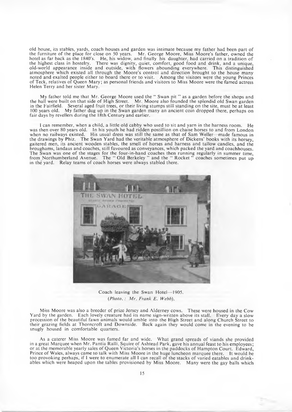old house, its stables, yards, coach houses and garden was intimate because my father had been part of the furniture of the place for close on 50 years. Mr. George Moore, Miss Moore's father, owned the hotel as far back as the 1840's. He, his widow, and finally his daughter, had carried on a tradition of the highest class in hostelry. There was dignity, quiet, comfort, good food and drink, and a unique, old-world appearance inside and outside, with flowers abounding everywhere. This distinguished atmosphere which existed all through the Moore's control and direction brought to the house many noted and exalted people either to board there or to visit. Among the visitors were the young Princes of Teck, relatives of Queen Mary; as personal friends and visitors to Miss Moore were the famed actress Helen Terry and her sister Mary.

My father told me that Mr. George Moore used the " Swan pit " as a garden before the shops and the hall were built on that side of High Street. Mr. Moore also founded the splendid old Swan garden in the Fairfield. Several aged fruit trees, or their living stumps still standing on the site, must be at least 100 years old. My father dug up in the Swan garden many an ancient coin dropped there, perhaps on fair days by revellers during the 18th Century and earlier.

I can remember, when a child, a little old cabby who used to sit and yarn in the harness room. He was then over 80 years old. In his youth he had ridden postillion on chaise horses to and from London when no railways existed. His usual dress was still the same as that of Sam Weller—made famous in the drawings by Phiz. The Swan Yard had the veritable atmosphere of Dickens' books with its horsey, gaitered men, its ancient wooden stables, the smell of horses and harness and tallow candles, and the broughams, landaus and coaches, still favoured as conveyances, which packed the yard and coachhouses. The Swan was one of the stages for the four-in-hand coaches then running regularly in summer time, from Northumberland Avenue. The " Old Berkeley " and the " Rocket " coaches sometimes put up in the yard. Relay teams of coach horses were always stabled there.



Coach leaving the Swan Hotel— 1905. *(Photo.: Mr. Frank E. Webb).* 

Miss Moore was also a breeder of prize Jersey and Alderney cows. These were housed in the Cow Yard by the garden. Each lovely creature had its name sign-written above its stall. Every day a slow procession of the beautiful fawn animals would amble into the High Street and along Church Street to their grazing fields at Thorncroft and Downside. Back again they would come in the evening to be snugly housed in comfortable quarters.

As a caterer Miss Moore was famed far and wide. W hat grand spreads of viands she provided in a great Marquee when Mr. Pantia Ralli, Squire of Ashtead Park, gave his annual feast to his employees; or at the memorable yearly sales of Queen Victoria's horses in the paddocks of Hampton Court. Edward, Prince of Wales, always came to talk with Miss Moore in the huge luncheon marquee there. It would be too provoking perhaps, if I were to enumerate all I can recall of the stacks of varied eatables and drinkables which were heaped upon the tables provisioned by Miss Moore. Many were the gay balls which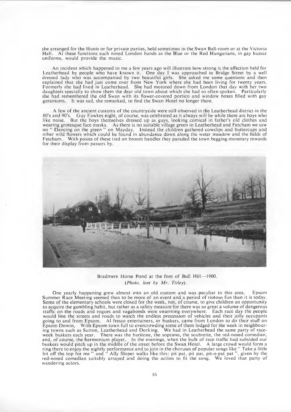she arranged for the Hunts or for private parties, held sometimes in the Swan Ball-room or at the Victoria Hall. At these functions such noted London bands as the Blue or the Red Hungarians, in gay hussar uniforms, would provide the music.

An incident which happened to me a few years ago will illustrate how strong is the affection held for Leatherhead by people who have known it. One day I was approached in Bridge Street by a well dressed lady who was accompanied by two beautiful girls. She asked me some questions and then explained that she had just come over from New York where she had been living for twenty years. Formerly she had lived in Leatherhead. She had motored down from London that day with her two daughters specially to show them the dear old town about which she had so often spoken. Particularly she had remembered the old Swan with its flower-covered portico and window boxes filled with gay geraniums. It was sad, she remarked, to find the Swan Hotel no longer there.

A few of the ancient customs of the countryside were still observed in the Leatherhead district in the 80's and 90's. Guy Fawkes night, of course, was celebrated as it always will be while there are boys who like noise. But the boys themselves dressed up as guys, looking comical in father's old clothes and wearing grotesque face masks. As there is no suitable village green in Leatherhead and Fetcham we saw no " Dancing on the green " on Mayday. Instead the children gathered cowslips and buttercups and other wild flowers which could be found in abundance down along the water meadow and the fields of Fetcham. With posies of these tied on broom handles they paraded the town begging monetary rewards for their display from passers by.



Bradmere Horse Pond at the foot of Bull Hill— 1900. *(Photo, lent by Mr. Titley).* 

One yearly happening grew almost into an old custom and was peculiar to this area. Epsom Summer Race Meeting seemed then to be more of an event and a period of riotous fun than it is today. Some of the elementary schools were closed for the week, not, of course, to give children an opportunity to acquire the gambling habit, but rather as a safety measure for there was so great a volume of dangerous traffic on the roads and rogues and vagabonds were swarming everywhere. Each race day the people would line the streets and roads to watch the endless procession of vehicles and their jolly occupants going to and from Epsom. A1 fresco entertainers, or buskers, came from London to do their stuff on Epsom Downs, With Epsom town full to overcrowding some of them lodged for the week in neighbouring towns such as Sutton, Leatherhead and Dorking. We had in Leatherhead the same party of raceweek buskers each year. There was the baritone, the soprano, the soubrette, the red-nosed comedian, and, of course, the harmonium player. In the evenings, when the bulk of race traffic had subsided our buskers would pitch up in the middle of the street before the Swan Hotel. A large crowd would form a ring there to enjoy the nightly performance and to join in the choruses of popular songs like " Take a little bit off the top for me " and " Ally Sloper walks like this: pit pat, pit pat, pit-o-pat pat " , given by the red-nosed comedian suitably arrayed and doing the action to fit the song. We loved that party of wandering actors.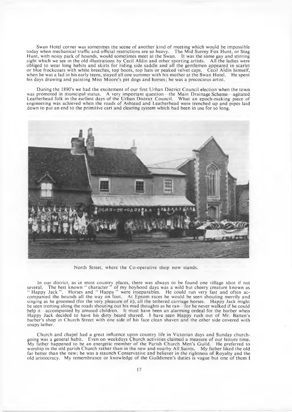Swan Hotel corner was sometimes the scene of another kind of meeting which would be impossible today when mechanical traffic and official restrictions are so heavy. The Mid Surrey Fox Hunt, or Stag Hunt, with noisy pack of hounds, would sometimes meet at the Swan. It was the same gay and stirring sight which we see in the old illustrations by Cecil Aldin and other sporting artists. All the ladies were obliged to wear long habits and skirts for riding side saddle and all the gentlemen appeared in scarlet or blue frockcoats with white breeches, top boots, top hats or peaked velvet caps. Cecil Aldin himself, when he was a lad in his early teens, stayed all one summer with his mother at the Swan Hotel. He spent his days drawing and painting Miss Moore's pet dogs and horses; he was a precocious artist.

During the 1890's we had the excitement of our first Urban District Council election when the town was promoted in municipal status. A very im portant question—the Main Drainage Scheme—agitated Leatherhead folk in the earliest days of the Urban District Council. W hat an epoch-making piece of engineering was achieved when the roads of Ashtead and Leatherhead were trenched up and pipes laid down to put an end to the primitive cart and clearing system which had been in use for so long.



North Street, where the Co-operative shop now stands.

In our district, as in most country places, there was always to be found one village idiot if not several. The best known " character " of my boyhood days was a wild but cheery creature known as " Happy Jack ". Horses and " Happy " were inseparables. He could run very fast and often accompanied the hounds all the way on foot. At Epsom races he would be seen shouting merrily and singing as he groomed (for the very pleasure of it), all the tethered carriage horses. Happy Jack might be seen trotting along the roads shouting out his mad thoughts as he ran—for he never walked if he could help it—accompanied by amused children. It must have been an alarming ordeal for the barber when Happy Jack decided to have his dirty beard shaved. I have seen Happy rush out of Mr. Batten's barber's shop in Church Street with one side of his face clean shaven and the other side covered with soapy lather.

Church and chapel had a great influence upon country life in Victorian days and Sunday churchgoing was a general habit. Even on weekdays Church activities claimed a measure of our leisure time. My father happened to be an energetic member of the Parish Church Men's Guild. He preferred to worship in the old parish Church rather than in the new and nearby All Saints. My father liked the old far better than the new; he was a staunch Conservative and believer in the rightness of Royalty and the old aristocracy. My remembrance or knowledge of the Guildsmen's duties is vague but one of them I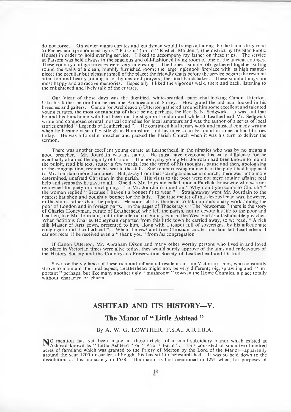do not forget. On winter nights curates and guildsmen would tramp out along the dark and dirty road to Pachesham (pronounced by us " Patsom ") or to " Rushett Malden " , (the district by the Star Public House) in order to hold evening service. I liked to accompany my father on these trips. The service at Patsom was held always in the spacious and old-fashioned living room of one of the ancient cottages. These country cottage services were very interesting. The honest, simple folk gathered together sitting round the walls of a clean, humbly furnished room ; the large inglenook fireplace with its high mantelpiece; the peculiar but pleasant smell of the place; the friendly chats before the service began; the reverent attention and hearty joining in of hymns and prayers; the final handshakes. These simple things are most happy and attractive memories. Especially, I liked the vigorous walk, there and back, listening to the enlightened and lively talk of the curates.

Our Vicar of those days was the dignified, white-bearded, patriachal-looking Canon Utterton. Like his father before him he became Archdeacon of Surrey. How grand the old man looked in his breeches and gaiters. Canon (or Archdeacon) U tterton gathered around him some excellent and talented young curates, the most outstanding of these being, perhaps, the Rev. S. N. Sedgwick. It was said that he and his handsome wife had been on the stage in London and while at Leatherhead Mr. Sedgwick wrote and composed several musical comedies for local amateurs and was the author of a series of local stories entitled " Legends of Leatherhead " . He continued his literary work and musical comedy writing when he became vicar of Eastleigh in Hampshire, and his novels can be found in some public libraries today. He was a forceful preacher and packed the Parish Church when it was his turn to deliver the sermon.

There was another excellent young curate at Leatherhead in the nineties who was by no means a good preacher. Mr. Jourdain was his name. He must have overcome his early diffidence for he eventually attained the dignity of Canon. The poor, shy young Mr. Jourdain had been known to mount the pulpit, read his text, stutter a few words, lose the trend of his thoughts, pause and then, apologising to the congregation, resume his seat in the stalls. Such embarrassing moments in the pulpit had happened to Mr. Jourdain more than once. But, away from that staring audience in church, there was not a more determined, unafraid Christian in the parish. His visits to the poor were not mere routine affairs; real help and sympathy he gave to all. One day Mr. Jourdain called upon a Fairfield housewife who was not renowned for piety or churchgoing. To Mr. Jourdain's question " Why don't you come to Church? " the woman replied " Because I haven't a bonnet fit to wear " . Straightaway went Mr. Jourdain to the nearest hat shop and bought a bonnet for the lady. The true metier of this devoted man was, however, in the slums rather than the pulpit. He soon left Leatherhead to take up missionary work among the poor of London and in foreign parts. In the pages of Thackeray's " The Newcomes " there is the story of Charles Honeyman, curate of Leatherhead who left the parish, not to devote his life to the poor and heathen, like Mr. Jourdain, but to the idle rich of Vanity Fair in the West End as a fashionable preacher. When fictitious Charles Honeyman departed from this little town he carried away, so we read, " A rich silk Master of Arts gown, presented to him, along with a teapot full of sovereigns, by his affectionate congregation at Leatherhead \*\*, When the *real* and true Christian curate Jourdain left Leatherhead I cannot recall if he received even a " thank you " from *his* congregation.

<span id="page-19-0"></span>If Canon Utterton, Mr. Abraham Dixon and many other worthy persons who lived in and loved the place in Victorian times were alive today, they would surely approve of the aims and endeavours of the History Society and the Countryside Preservation Society of Leatherhead and District.

Save for the vigilance of these rich and influential residents in late Victorian times, who constantly strove to maintain the rural aspect, Leatherhead might now be very different; big, sprawling and " important " perhaps, but like many another ugly " mushroom " town in the Home Counties, a place totally without character or charm.

### **ASHTEAD AND ITS HISTORY—V.**

## **The Manor of " Little Ashtead "**

#### **By A. W. G. LOWTHER, F.S.A., A.R.I.B.A.**

NO mention has yet been made in these articles of a small subsidiary manor which existed at **Ashtead known as " Little Ashtead " or " Prior's Farm ".** This consisted of some two hundred acres of farmland which was granted to the Priory of Merton by the Lord of the Manor—apparently around the year 1200 or earlier, although this has still to be established. It was so held down to the dissolution of this monastery in 1538. The manor is first mentioned in 1291 when, for purposes of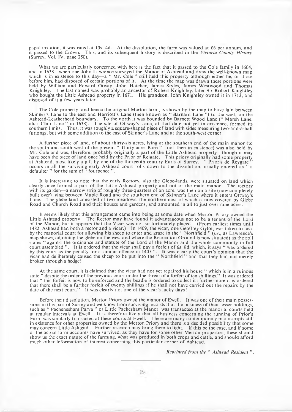papal taxation, it was rated at 13s. 4d. At the dissolution, the farm was valued at £6 per annum, and it passed to the Crown. This, and its subsequent history is described in the *Victoria County H istory* (Surrey, Vol. IV, page 250).

What we are particularly concerned with here is the fact that it passed to the Cole family in 1604, and in 1638—when one John Lawrence surveyed the Manor of Ashtead and drew the well-known map which is in existence to this day—a " Mr. Cole " still held this property although either he, or those before him, had disposed of certain portions of it. At the time the map was drawn these portions were held by William and Edward Otway, John Hatcher, James Styles, James Westwood and Thomas Knightley. The last named was probably an ancestor of Robert Knightley, later Sir Robert Knightley who bought the Little Ashtead property in 1671. His grandson, John Knightley owned it in 1713, and disposed of it a few years later.

The Cole property, and hence the original Merton farm, is shown by the map to have lain between Skinner's Lane to the east and Harriott's Lane (then known as " Barnard Lane ") to the west, on the Ashtead-Leatherhead boundary. To the north it was bounded by Barnett Wood Lane ("Marsh Lane, alias Club Lane " in 1638). The site of Ottway's Lane, at that date not yet in existence, formed its alias Club Lane" in 1638). The site of Ottway's Lane, at that date not yet in existence, formed its southern limits. Thus, it was roughly a square-shaped piece of land with sides measuring two-and-a-half furlongs, but with some addition to the east of Skinner's Lane and at the south-west corner.

A further piece of land, of about thirty-six acres, lying at the southern end of the main manor (to the south and south-west of the present " Thirty-acre Barn "— not then in existence) was also held by Mr. Cole and was, therefore, probably originally a part of the Little Ashtead property—though it may have been the piece of land once held by the Prior of Reigate. This priory originally had some property at Ashtead, most likely a gift by one of the thirteenth century Earls of Surrey. " Prioris de Reygate " occurs in all the surviving early Ashtead court rolls down to the dissolution, usually entered as " a defaulter " for the sum of " fourpence ".

It is interesting to note that the early Rectory, also the Glebe-lands, were situated on land which clearly once formed a part of the Little Ashtead property and not of the main manor. The rectory with its garden—a narrow strip of roughly three-quarters of an acre, was then on a site (now completely built over) lying between Maple Road and the southern end of Skinner's Lane where it enters Ottway's Lane. The glebe land consisted of two meadows, the northernmost of which is now covered by Glebe Road and Church Road and their houses and gardens, and amounted in all to just over nine acres.

It seems likely that this arrangement came into being at some date when Merton Priory owned the Little Ashtead property. The Rector may have found it advantageous not to be a tenant of the Lord of the Manor, but it appears that the Vicar was not so fortunately placed. (From earliest times until 1482, Ashtead had both a rector and a vicar.) In 1409, the vicar, one Geoffrey Gylot, was taken to task by the manorial court for allowing his sheep to enter and graze in the " Northfield " *(i.e.,* as Lawrence's map shows, adjoining the glebe on the west and where the Recreation Ground is now situated) as the roll states " against the ordinance and statute of the Lord of the Manor and the whole community in full court assembled ". It is ordered that the vicar shall pay a forfeit of 6s. 8d. which, it says " was ordered by this court as the penalty for a similar offence in 1405". It was clearly the court's opinion that the vicar had deliberately caused the sheep to be put into the " Northfield " and that they had not merely broken through a hedge!

At the same court, it is claimed that the vicar had not yet repaired his house " which is in a ruinous state " despite the order of the previous court under the threat of a forfeit of ten shillings." It was ordered that " this forfeit is now to be enforced and the beadle is ordered to collect it: furthermore it is ordered that there shall be a further forfeit of twenty shillings if he shall not have carried out the repairs by the date of the next court." It was clearly not one of the vicar's lucky days!

Before their dissolution, Merton Priory owned the manor of Ewell. It was one of their main possessions in this part of Surrey and we know from surviving records that the business of their lesser holdings, such as " Pachenesham Parva " or Little Pachesham Manor, was transacted at the manorial courts held at regular intervals at Ewell. It is therefore likely that all business concerning the running of Prior's Farm was similarly transacted at these courts at Ewell. There are many contemporary manuscripts still in existence for other properties owned by the Merton Priory and there is a decided possibility that some may concern Little Ashtead. Further research may bring them to light. If this be the case, and if some of the actual farm accounts have survived, as they have for some other Merton properties, these should show us the exact nature of the farming, what was produced in both crops and cattle, and should afford much other information of interest concerning this particular corner of Ashtead.

*Reprinted fro m the* " *Ashtead Resident* " .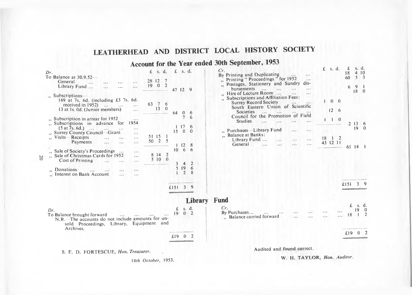# **LEATHERHEAD AND DISTRICT LOCAL HISTORY SOCIETY**

## **Account for the Year ended 30th September, 1953**

*Dr.* To

 $, \,$ 

 $\ddot{z}$ 

| $r_{\cdot}$                                                                                                                                                                                                  | s. d.<br>£                                     | $\mathbf{f}$                                       | s. d.                     |                         |
|--------------------------------------------------------------------------------------------------------------------------------------------------------------------------------------------------------------|------------------------------------------------|----------------------------------------------------|---------------------------|-------------------------|
| $\circ$ Balance at 30.9.52—<br>General<br>$\cdots$<br>.<br>Library Fund<br>$\overline{a}$                                                                                                                    | 28 12<br>7<br>$\overline{2}$<br>19<br>$\theta$ | 47 12                                              |                           | 9                       |
| $\ldots$ Subscriptions—<br>169 at 7s, 6d, (including £3 7s, 6d.<br>received in 1952)<br>$\cdots$<br>13 at 1s. 0d. (Junior members)                                                                           | 63<br>6<br>-7<br>13<br>$\theta$                | 64                                                 | $\bf{0}$                  | 6                       |
| Subscription in arrear for 1952<br>$4 + 4$<br>1954<br>Subscriptions in advance for<br>(5 at 7s. 6d.)<br>$\sim$<br>$\cdots$<br><b>Surrey County Council-Grant</b><br>Visits-Receipts<br>.11.1<br>Payments<br> | 51 15<br>$\overline{2}$<br>50                  | 15<br>1<br>5                                       | 7<br>17<br>$\theta$<br>12 | 6<br>6<br>$\Omega$<br>8 |
| Sale of Society's Proceedings<br>Sale of Christmas Cards for 1952<br><br><b>Cost of Printing</b>                                                                                                             | 8 14<br>$5\,10$                                | 10<br>$\overline{2}$<br>$\theta$<br>$\overline{3}$ | 6<br>$\overline{4}$       | 6<br>$\overline{2}$     |
| <b>Donations</b><br>$\cdots$<br>4.9.6<br>Interest on Bank Account<br>والموارد                                                                                                                                |                                                |                                                    | 519<br>$\overline{2}$     | 6<br>8                  |
|                                                                                                                                                                                                              |                                                | £151                                               | $\overline{3}$            | 9                       |
|                                                                                                                                                                                                              |                                                |                                                    |                           | <b>Library</b>          |
| Dr.<br>To Balance brought forward<br>$180 - 120$<br>$\cdots$<br>N.B. The accounts do not include amounts for un-<br>sold Proceedings, Library, Equipment<br>Archives.                                        | and                                            | £<br>19                                            | s. d.<br>$\mathbf{0}$     | $\mathbf{2}$            |
|                                                                                                                                                                                                              |                                                | £19                                                | $\bf{0}$                  | 2                       |
|                                                                                                                                                                                                              |                                                |                                                    |                           |                         |

S. E. D. FORTESCUE, *Hon. Treasurer.* 

| Cr. |                                      |          |  |  |
|-----|--------------------------------------|----------|--|--|
|     | By Printing and Duplicating          |          |  |  |
|     | Printing " Proceedings " for 1952    |          |  |  |
| š.  | Postages, Stationery and Sundry dis- |          |  |  |
|     | bursements                           |          |  |  |
|     | Hire of Lecture Room                 |          |  |  |
|     | Subscriptions and Affiliation Fees:  |          |  |  |
|     | <b>Surrey Record Society</b>         |          |  |  |
|     | South Eastern Union of Scientific    |          |  |  |
|     | Societies                            |          |  |  |
|     | Council for the Promotion of Field   |          |  |  |
|     | Studies                              |          |  |  |
|     |                                      |          |  |  |
|     | Purchases-Library Fund               |          |  |  |
|     | ", Balance at Banks:                 |          |  |  |
|     | Library Fund                         |          |  |  |
|     | General                              | $\cdots$ |  |  |
|     |                                      |          |  |  |

- **Fund** *Cr.*
	- By Purchases..........................  $...$  $-0.7$ .. Balance carried forward  $\cdots$  $. . . .$

| $\mathbf{f}$ | s. d.            |                | £<br>18<br>60  | s. d.<br>$\overline{4}$<br>5 | 10<br>3                              |
|--------------|------------------|----------------|----------------|------------------------------|--------------------------------------|
|              |                  |                | 6              | $\overline{9}$<br>18         | 1<br>0                               |
| 1            | $\bf{0}$         | $\bf{0}$       |                |                              |                                      |
|              | 12               | 6              |                |                              |                                      |
| 1            | 1                | $\bf{0}$       | $\overline{2}$ | $13-1$<br>19                 | $\begin{matrix} 6 \\ 0 \end{matrix}$ |
|              | 18 1<br>43 12 11 | $\overline{2}$ | 61             | $\overline{14}$              |                                      |

|  | £151    | 3        | g                         |
|--|---------|----------|---------------------------|
|  | £<br>18 | S.<br>19 | d.<br>$\overline{0}$<br>2 |
|  | £19     | $\bf{0}$ | 2                         |

14*th October*, 1953.

Audited and found correct.

W. H. TAYLOR, *Hon. Auditor.*